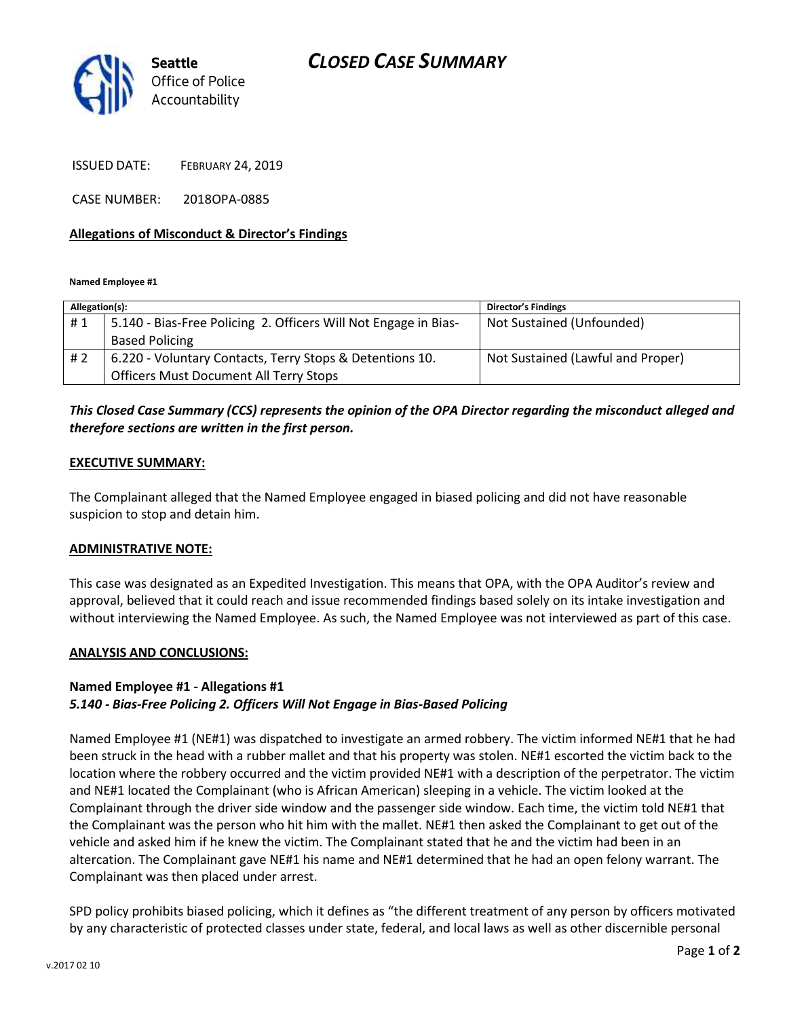# *CLOSED CASE SUMMARY*



ISSUED DATE: FEBRUARY 24, 2019

CASE NUMBER: 2018OPA-0885

### **Allegations of Misconduct & Director's Findings**

**Named Employee #1**

| Allegation(s): |                                                                 | <b>Director's Findings</b>        |
|----------------|-----------------------------------------------------------------|-----------------------------------|
| #1             | 5.140 - Bias-Free Policing 2. Officers Will Not Engage in Bias- | Not Sustained (Unfounded)         |
|                | <b>Based Policing</b>                                           |                                   |
| #2             | 6.220 - Voluntary Contacts, Terry Stops & Detentions 10.        | Not Sustained (Lawful and Proper) |
|                | <b>Officers Must Document All Terry Stops</b>                   |                                   |

# *This Closed Case Summary (CCS) represents the opinion of the OPA Director regarding the misconduct alleged and therefore sections are written in the first person.*

### **EXECUTIVE SUMMARY:**

The Complainant alleged that the Named Employee engaged in biased policing and did not have reasonable suspicion to stop and detain him.

#### **ADMINISTRATIVE NOTE:**

This case was designated as an Expedited Investigation. This means that OPA, with the OPA Auditor's review and approval, believed that it could reach and issue recommended findings based solely on its intake investigation and without interviewing the Named Employee. As such, the Named Employee was not interviewed as part of this case.

#### **ANALYSIS AND CONCLUSIONS:**

## **Named Employee #1 - Allegations #1** *5.140 - Bias-Free Policing 2. Officers Will Not Engage in Bias-Based Policing*

Named Employee #1 (NE#1) was dispatched to investigate an armed robbery. The victim informed NE#1 that he had been struck in the head with a rubber mallet and that his property was stolen. NE#1 escorted the victim back to the location where the robbery occurred and the victim provided NE#1 with a description of the perpetrator. The victim and NE#1 located the Complainant (who is African American) sleeping in a vehicle. The victim looked at the Complainant through the driver side window and the passenger side window. Each time, the victim told NE#1 that the Complainant was the person who hit him with the mallet. NE#1 then asked the Complainant to get out of the vehicle and asked him if he knew the victim. The Complainant stated that he and the victim had been in an altercation. The Complainant gave NE#1 his name and NE#1 determined that he had an open felony warrant. The Complainant was then placed under arrest.

SPD policy prohibits biased policing, which it defines as "the different treatment of any person by officers motivated by any characteristic of protected classes under state, federal, and local laws as well as other discernible personal